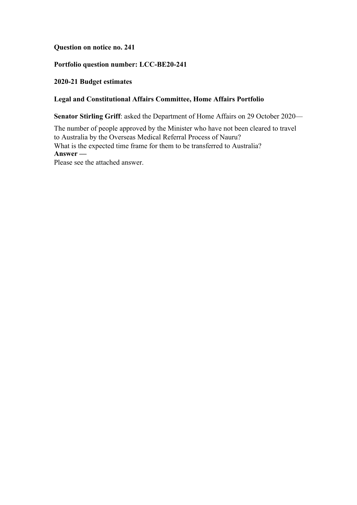**Question on notice no. 241**

# **Portfolio question number: LCC-BE20-241**

**2020-21 Budget estimates**

## **Legal and Constitutional Affairs Committee, Home Affairs Portfolio**

**Senator Stirling Griff**: asked the Department of Home Affairs on 29 October 2020—

The number of people approved by the Minister who have not been cleared to travel to Australia by the Overseas Medical Referral Process of Nauru? What is the expected time frame for them to be transferred to Australia? **Answer —**

Please see the attached answer.